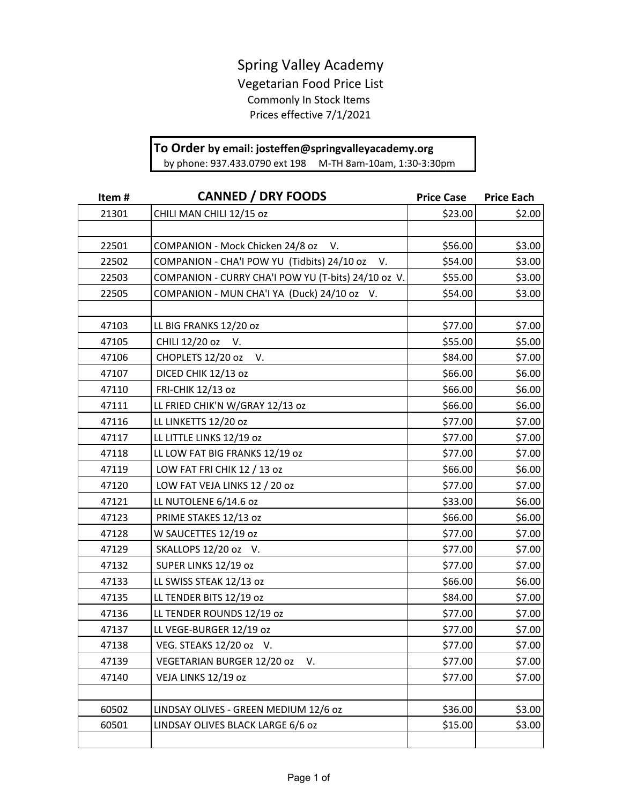## Spring Valley Academy

Vegetarian Food Price List Commonly In Stock Items Prices effective 7/1/2021

## **To Order by email: josteffen@springvalleyacademy.org**

by phone: 937.433.0790 ext 198 M-TH 8am-10am, 1:30-3:30pm

| Item# | <b>CANNED / DRY FOODS</b>                           | <b>Price Case</b> | <b>Price Each</b> |
|-------|-----------------------------------------------------|-------------------|-------------------|
| 21301 | CHILI MAN CHILI 12/15 oz                            | \$23.00           | \$2.00            |
|       |                                                     |                   |                   |
| 22501 | COMPANION - Mock Chicken 24/8 oz<br>V.              | \$56.00           | \$3.00            |
| 22502 | COMPANION - CHA'I POW YU (Tidbits) 24/10 oz V.      | \$54.00           | \$3.00            |
| 22503 | COMPANION - CURRY CHA'I POW YU (T-bits) 24/10 oz V. | \$55.00           | \$3.00            |
| 22505 | COMPANION - MUN CHA'I YA (Duck) 24/10 oz V.         | \$54.00           | \$3.00            |
|       |                                                     |                   |                   |
| 47103 | LL BIG FRANKS 12/20 oz                              | \$77.00           | \$7.00            |
| 47105 | CHILI 12/20 oz<br>V.                                | \$55.00           | \$5.00            |
| 47106 | CHOPLETS 12/20 oz<br>V.                             | \$84.00           | \$7.00            |
| 47107 | DICED CHIK 12/13 oz                                 | \$66.00           | \$6.00            |
| 47110 | <b>FRI-CHIK 12/13 oz</b>                            | \$66.00           | \$6.00            |
| 47111 | LL FRIED CHIK'N W/GRAY 12/13 oz                     | \$66.00           | \$6.00            |
| 47116 | LL LINKETTS 12/20 oz                                | \$77.00           | \$7.00            |
| 47117 | LL LITTLE LINKS 12/19 oz                            | \$77.00           | \$7.00            |
| 47118 | LL LOW FAT BIG FRANKS 12/19 oz                      | \$77.00           | \$7.00            |
| 47119 | LOW FAT FRI CHIK 12 / 13 oz                         | \$66.00           | \$6.00            |
| 47120 | LOW FAT VEJA LINKS 12 / 20 oz                       | \$77.00           | \$7.00            |
| 47121 | LL NUTOLENE 6/14.6 oz                               | \$33.00           | \$6.00            |
| 47123 | PRIME STAKES 12/13 oz                               | \$66.00           | \$6.00            |
| 47128 | W SAUCETTES 12/19 oz                                | \$77.00           | \$7.00            |
| 47129 | SKALLOPS 12/20 oz V.                                | \$77.00           | \$7.00            |
| 47132 | SUPER LINKS 12/19 oz                                | \$77.00           | \$7.00            |
| 47133 | LL SWISS STEAK 12/13 oz                             | \$66.00           | \$6.00            |
| 47135 | LL TENDER BITS 12/19 oz                             | \$84.00           | \$7.00            |
| 47136 | LL TENDER ROUNDS 12/19 oz                           | \$77.00           | \$7.00            |
| 47137 | LL VEGE-BURGER 12/19 oz                             | \$77.00           | \$7.00            |
| 47138 | VEG. STEAKS 12/20 oz V.                             | \$77.00           | \$7.00            |
| 47139 | VEGETARIAN BURGER 12/20 oz<br>V.                    | \$77.00           | \$7.00            |
| 47140 | VEJA LINKS 12/19 oz                                 | \$77.00           | \$7.00            |
|       |                                                     |                   |                   |
| 60502 | LINDSAY OLIVES - GREEN MEDIUM 12/6 oz               | \$36.00           | \$3.00            |
| 60501 | LINDSAY OLIVES BLACK LARGE 6/6 oz                   | \$15.00           | \$3.00            |
|       |                                                     |                   |                   |